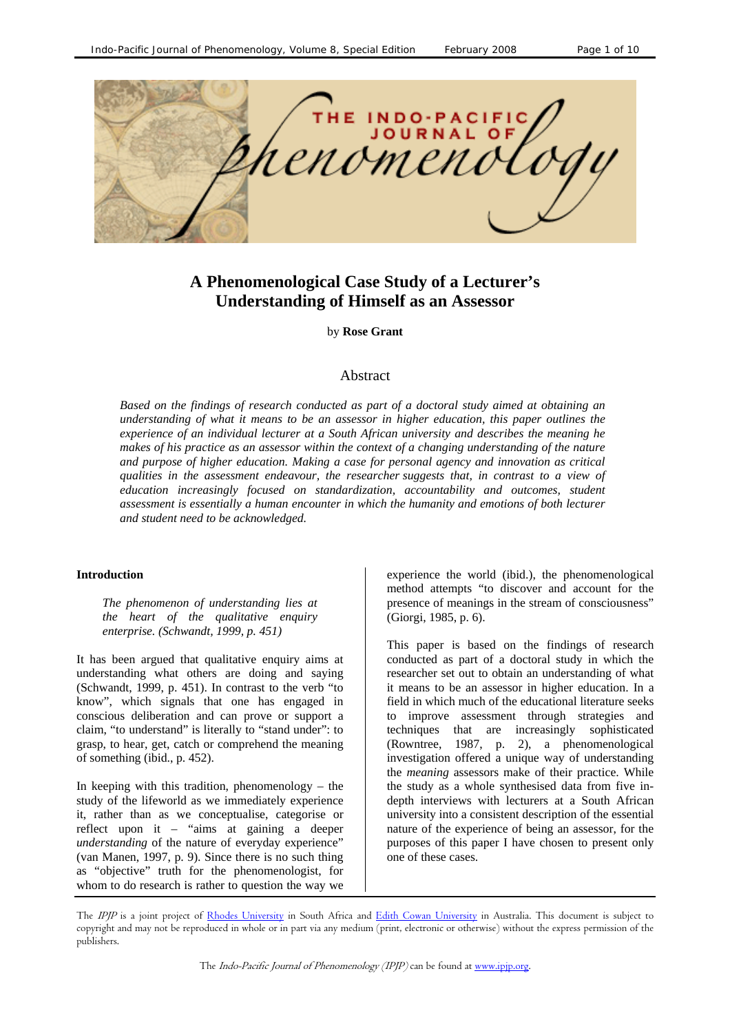

# **A Phenomenological Case Study of a Lecturer's Understanding of Himself as an Assessor**

by **Rose Grant** 

#### Abstract

*Based on the findings of research conducted as part of a doctoral study aimed at obtaining an understanding of what it means to be an assessor in higher education, this paper outlines the experience of an individual lecturer at a South African university and describes the meaning he makes of his practice as an assessor within the context of a changing understanding of the nature and purpose of higher education. Making a case for personal agency and innovation as critical qualities in the assessment endeavour, the researcher suggests that, in contrast to a view of education increasingly focused on standardization, accountability and outcomes, student assessment is essentially a human encounter in which the humanity and emotions of both lecturer and student need to be acknowledged.* 

#### **Introduction**

*The phenomenon of understanding lies at the heart of the qualitative enquiry enterprise. (Schwandt, 1999, p. 451)* 

It has been argued that qualitative enquiry aims at understanding what others are doing and saying (Schwandt, 1999, p. 451). In contrast to the verb "to know", which signals that one has engaged in conscious deliberation and can prove or support a claim, "to understand" is literally to "stand under": to grasp, to hear, get, catch or comprehend the meaning of something (ibid., p. 452).

In keeping with this tradition, phenomenology *–* the study of the lifeworld as we immediately experience it, rather than as we conceptualise, categorise or reflect upon it – "aims at gaining a deeper *understanding* of the nature of everyday experience" (van Manen, 1997, p. 9). Since there is no such thing as "objective" truth for the phenomenologist, for whom to do research is rather to question the way we

experience the world (ibid.), the phenomenological method attempts "to discover and account for the presence of meanings in the stream of consciousness" (Giorgi, 1985, p. 6).

This paper is based on the findings of research conducted as part of a doctoral study in which the researcher set out to obtain an understanding of what it means to be an assessor in higher education. In a field in which much of the educational literature seeks to improve assessment through strategies and techniques that are increasingly sophisticated (Rowntree, 1987, p. 2), a phenomenological investigation offered a unique way of understanding the *meaning* assessors make of their practice. While the study as a whole synthesised data from five indepth interviews with lecturers at a South African university into a consistent description of the essential nature of the experience of being an assessor, for the purposes of this paper I have chosen to present only one of these cases.

The IPJP is a joint project of Rhodes University in South Africa and Edith Cowan University in Australia. This document is subject to copyright and may not be reproduced in whole or in part via any medium (print, electronic or otherwise) without the express permission of the publishers.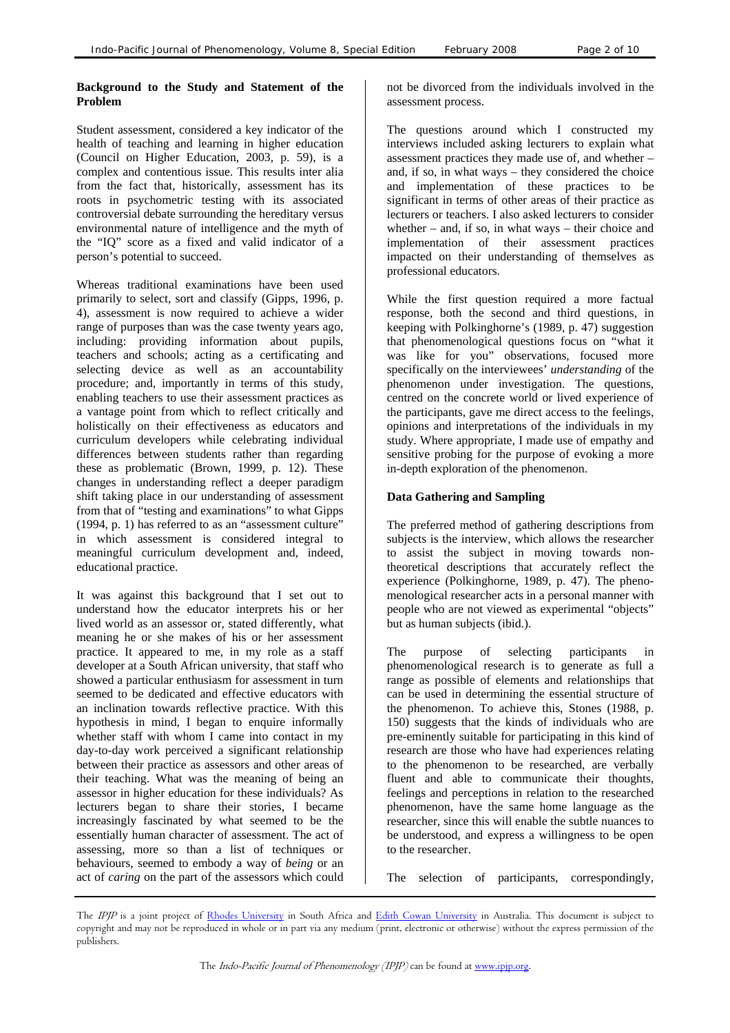# **Background to the Study and Statement of the Problem**

Student assessment, considered a key indicator of the health of teaching and learning in higher education (Council on Higher Education, 2003, p. 59), is a complex and contentious issue. This results inter alia from the fact that, historically, assessment has its roots in psychometric testing with its associated controversial debate surrounding the hereditary versus environmental nature of intelligence and the myth of the "IQ" score as a fixed and valid indicator of a person's potential to succeed.

Whereas traditional examinations have been used primarily to select, sort and classify (Gipps, 1996, p. 4), assessment is now required to achieve a wider range of purposes than was the case twenty years ago, including: providing information about pupils, teachers and schools; acting as a certificating and selecting device as well as an accountability procedure; and, importantly in terms of this study, enabling teachers to use their assessment practices as a vantage point from which to reflect critically and holistically on their effectiveness as educators and curriculum developers while celebrating individual differences between students rather than regarding these as problematic (Brown, 1999, p. 12). These changes in understanding reflect a deeper paradigm shift taking place in our understanding of assessment from that of "testing and examinations" to what Gipps (1994, p. 1) has referred to as an "assessment culture" in which assessment is considered integral to meaningful curriculum development and, indeed, educational practice.

It was against this background that I set out to understand how the educator interprets his or her lived world as an assessor or, stated differently, what meaning he or she makes of his or her assessment practice. It appeared to me, in my role as a staff developer at a South African university, that staff who showed a particular enthusiasm for assessment in turn seemed to be dedicated and effective educators with an inclination towards reflective practice. With this hypothesis in mind, I began to enquire informally whether staff with whom I came into contact in my day-to-day work perceived a significant relationship between their practice as assessors and other areas of their teaching. What was the meaning of being an assessor in higher education for these individuals? As lecturers began to share their stories, I became increasingly fascinated by what seemed to be the essentially human character of assessment. The act of assessing, more so than a list of techniques or behaviours, seemed to embody a way of *being* or an act of *caring* on the part of the assessors which could

not be divorced from the individuals involved in the assessment process.

The questions around which I constructed my interviews included asking lecturers to explain what assessment practices they made use of, and whether – and, if so, in what ways – they considered the choice and implementation of these practices to be significant in terms of other areas of their practice as lecturers or teachers. I also asked lecturers to consider whether – and, if so, in what ways – their choice and implementation of their assessment practices impacted on their understanding of themselves as professional educators.

While the first question required a more factual response, both the second and third questions, in keeping with Polkinghorne's (1989, p. 47) suggestion that phenomenological questions focus on "what it was like for you" observations, focused more specifically on the interviewees' *understanding* of the phenomenon under investigation. The questions, centred on the concrete world or lived experience of the participants, gave me direct access to the feelings, opinions and interpretations of the individuals in my study. Where appropriate, I made use of empathy and sensitive probing for the purpose of evoking a more in-depth exploration of the phenomenon.

# **Data Gathering and Sampling**

The preferred method of gathering descriptions from subjects is the interview, which allows the researcher to assist the subject in moving towards nontheoretical descriptions that accurately reflect the experience (Polkinghorne, 1989, p. 47). The phenomenological researcher acts in a personal manner with people who are not viewed as experimental "objects" but as human subjects (ibid.).

The purpose of selecting participants in phenomenological research is to generate as full a range as possible of elements and relationships that can be used in determining the essential structure of the phenomenon. To achieve this, Stones (1988, p. 150) suggests that the kinds of individuals who are pre-eminently suitable for participating in this kind of research are those who have had experiences relating to the phenomenon to be researched, are verbally fluent and able to communicate their thoughts, feelings and perceptions in relation to the researched phenomenon, have the same home language as the researcher, since this will enable the subtle nuances to be understood, and express a willingness to be open to the researcher.

The selection of participants, correspondingly,

The IPJP is a joint project of Rhodes University in South Africa and Edith Cowan University in Australia. This document is subject to copyright and may not be reproduced in whole or in part via any medium (print, electronic or otherwise) without the express permission of the publishers.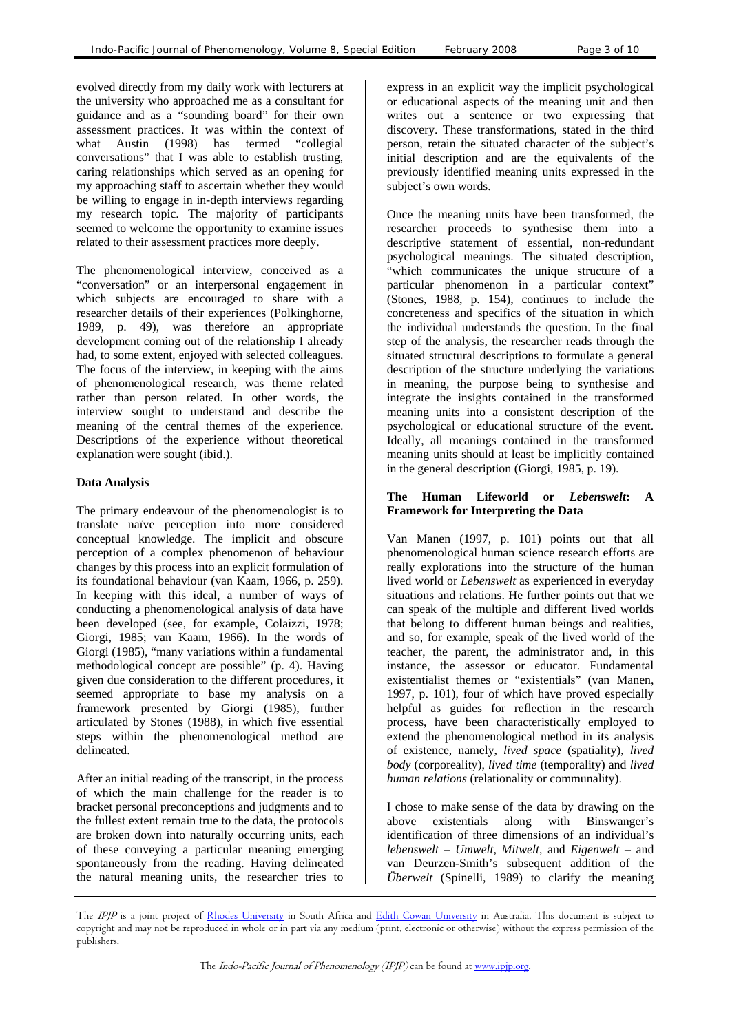evolved directly from my daily work with lecturers at the university who approached me as a consultant for guidance and as a "sounding board" for their own assessment practices. It was within the context of what Austin (1998) has termed "collegial conversations" that I was able to establish trusting, caring relationships which served as an opening for my approaching staff to ascertain whether they would be willing to engage in in-depth interviews regarding my research topic. The majority of participants seemed to welcome the opportunity to examine issues related to their assessment practices more deeply.

The phenomenological interview, conceived as a "conversation" or an interpersonal engagement in which subjects are encouraged to share with a researcher details of their experiences (Polkinghorne, 1989, p. 49), was therefore an appropriate development coming out of the relationship I already had, to some extent, enjoyed with selected colleagues. The focus of the interview, in keeping with the aims of phenomenological research, was theme related rather than person related. In other words, the interview sought to understand and describe the meaning of the central themes of the experience. Descriptions of the experience without theoretical explanation were sought (ibid.).

# **Data Analysis**

The primary endeavour of the phenomenologist is to translate naïve perception into more considered conceptual knowledge. The implicit and obscure perception of a complex phenomenon of behaviour changes by this process into an explicit formulation of its foundational behaviour (van Kaam, 1966, p. 259). In keeping with this ideal, a number of ways of conducting a phenomenological analysis of data have been developed (see, for example, Colaizzi, 1978; Giorgi, 1985; van Kaam, 1966). In the words of Giorgi (1985), "many variations within a fundamental methodological concept are possible" (p. 4). Having given due consideration to the different procedures, it seemed appropriate to base my analysis on a framework presented by Giorgi (1985), further articulated by Stones (1988), in which five essential steps within the phenomenological method are delineated.

After an initial reading of the transcript, in the process of which the main challenge for the reader is to bracket personal preconceptions and judgments and to the fullest extent remain true to the data, the protocols are broken down into naturally occurring units, each of these conveying a particular meaning emerging spontaneously from the reading. Having delineated the natural meaning units, the researcher tries to

express in an explicit way the implicit psychological or educational aspects of the meaning unit and then writes out a sentence or two expressing that discovery. These transformations, stated in the third person, retain the situated character of the subject's initial description and are the equivalents of the previously identified meaning units expressed in the subject's own words.

Once the meaning units have been transformed, the researcher proceeds to synthesise them into a descriptive statement of essential, non-redundant psychological meanings. The situated description, "which communicates the unique structure of a particular phenomenon in a particular context" (Stones, 1988, p. 154), continues to include the concreteness and specifics of the situation in which the individual understands the question. In the final step of the analysis, the researcher reads through the situated structural descriptions to formulate a general description of the structure underlying the variations in meaning, the purpose being to synthesise and integrate the insights contained in the transformed meaning units into a consistent description of the psychological or educational structure of the event. Ideally, all meanings contained in the transformed meaning units should at least be implicitly contained in the general description (Giorgi, 1985, p. 19).

## **The Human Lifeworld or** *Lebenswelt***: A Framework for Interpreting the Data**

Van Manen (1997, p. 101) points out that all phenomenological human science research efforts are really explorations into the structure of the human lived world or *Lebenswelt* as experienced in everyday situations and relations. He further points out that we can speak of the multiple and different lived worlds that belong to different human beings and realities, and so, for example, speak of the lived world of the teacher, the parent, the administrator and, in this instance, the assessor or educator. Fundamental existentialist themes or "existentials" (van Manen, 1997, p. 101), four of which have proved especially helpful as guides for reflection in the research process, have been characteristically employed to extend the phenomenological method in its analysis of existence, namely, *lived space* (spatiality), *lived body* (corporeality), *lived time* (temporality) and *lived human relations* (relationality or communality).

I chose to make sense of the data by drawing on the above existentials along with Binswanger's identification of three dimensions of an individual's *lebenswelt – Umwelt, Mitwelt,* and *Eigenwelt –* and van Deurzen-Smith's subsequent addition of the *Überwelt* (Spinelli, 1989) to clarify the meaning

The IPJP is a joint project of Rhodes University in South Africa and Edith Cowan University in Australia. This document is subject to copyright and may not be reproduced in whole or in part via any medium (print, electronic or otherwise) without the express permission of the publishers.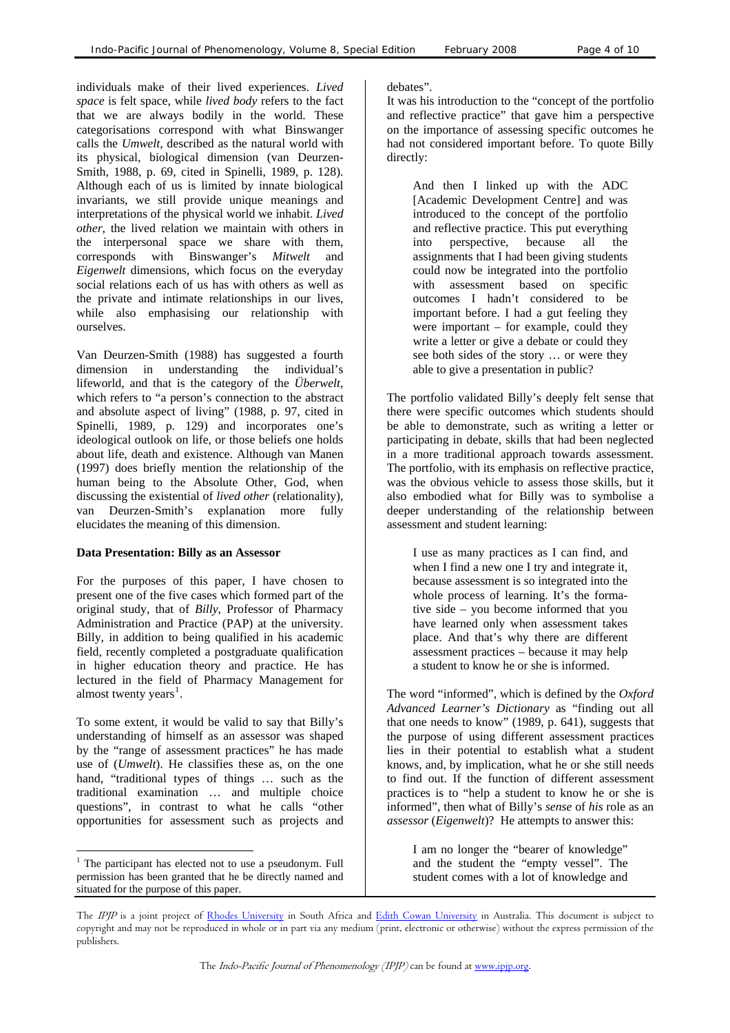individuals make of their lived experiences. *Lived space* is felt space, while *lived body* refers to the fact that we are always bodily in the world. These categorisations correspond with what Binswanger calls the *Umwelt*, described as the natural world with its physical, biological dimension (van Deurzen-Smith, 1988, p. 69, cited in Spinelli, 1989, p. 128). Although each of us is limited by innate biological invariants, we still provide unique meanings and interpretations of the physical world we inhabit. *Lived other*, the lived relation we maintain with others in the interpersonal space we share with them, corresponds with Binswanger's *Mitwelt* and *Eigenwelt* dimensions, which focus on the everyday social relations each of us has with others as well as the private and intimate relationships in our lives, while also emphasising our relationship with ourselves.

Van Deurzen-Smith (1988) has suggested a fourth dimension in understanding the individual's lifeworld, and that is the category of the *Überwelt*, which refers to "a person's connection to the abstract and absolute aspect of living" (1988, p. 97, cited in Spinelli, 1989, p. 129) and incorporates one's ideological outlook on life, or those beliefs one holds about life, death and existence. Although van Manen (1997) does briefly mention the relationship of the human being to the Absolute Other, God, when discussing the existential of *lived other* (relationality), van Deurzen-Smith's explanation more fully elucidates the meaning of this dimension.

## **Data Presentation: Billy as an Assessor**

For the purposes of this paper, I have chosen to present one of the five cases which formed part of the original study, that of *Billy*, Professor of Pharmacy Administration and Practice (PAP) at the university. Billy, in addition to being qualified in his academic field, recently completed a postgraduate qualification in higher education theory and practice. He has lectured in the field of Pharmacy Management for almost twenty years $<sup>1</sup>$  $<sup>1</sup>$  $<sup>1</sup>$ .</sup>

To some extent, it would be valid to say that Billy's understanding of himself as an assessor was shaped by the "range of assessment practices" he has made use of (*Umwelt*). He classifies these as, on the one hand, "traditional types of things … such as the traditional examination … and multiple choice questions", in contrast to what he calls "other opportunities for assessment such as projects and

<span id="page-3-0"></span><sup>1</sup> The participant has elected not to use a pseudonym. Full permission has been granted that he be directly named and situated for the purpose of this paper.

 $\overline{a}$ 

debates".

It was his introduction to the "concept of the portfolio and reflective practice" that gave him a perspective on the importance of assessing specific outcomes he had not considered important before. To quote Billy directly:

And then I linked up with the ADC [Academic Development Centre] and was introduced to the concept of the portfolio and reflective practice. This put everything into perspective, because all the assignments that I had been giving students could now be integrated into the portfolio with assessment based on specific outcomes I hadn't considered to be important before. I had a gut feeling they were important – for example, could they write a letter or give a debate or could they see both sides of the story … or were they able to give a presentation in public?

The portfolio validated Billy's deeply felt sense that there were specific outcomes which students should be able to demonstrate, such as writing a letter or participating in debate, skills that had been neglected in a more traditional approach towards assessment. The portfolio, with its emphasis on reflective practice, was the obvious vehicle to assess those skills, but it also embodied what for Billy was to symbolise a deeper understanding of the relationship between assessment and student learning:

I use as many practices as I can find, and when I find a new one I try and integrate it, because assessment is so integrated into the whole process of learning. It's the formative side – you become informed that you have learned only when assessment takes place. And that's why there are different assessment practices – because it may help a student to know he or she is informed.

The word "informed", which is defined by the *Oxford Advanced Learner's Dictionary* as "finding out all that one needs to know" (1989, p. 641), suggests that the purpose of using different assessment practices lies in their potential to establish what a student knows, and, by implication, what he or she still needs to find out. If the function of different assessment practices is to "help a student to know he or she is informed", then what of Billy's *sense* of *his* role as an *assessor* (*Eigenwelt*)? He attempts to answer this:

I am no longer the "bearer of knowledge" and the student the "empty vessel". The student comes with a lot of knowledge and

The IPJP is a joint project of Rhodes University in South Africa and Edith Cowan University in Australia. This document is subject to copyright and may not be reproduced in whole or in part via any medium (print, electronic or otherwise) without the express permission of the publishers.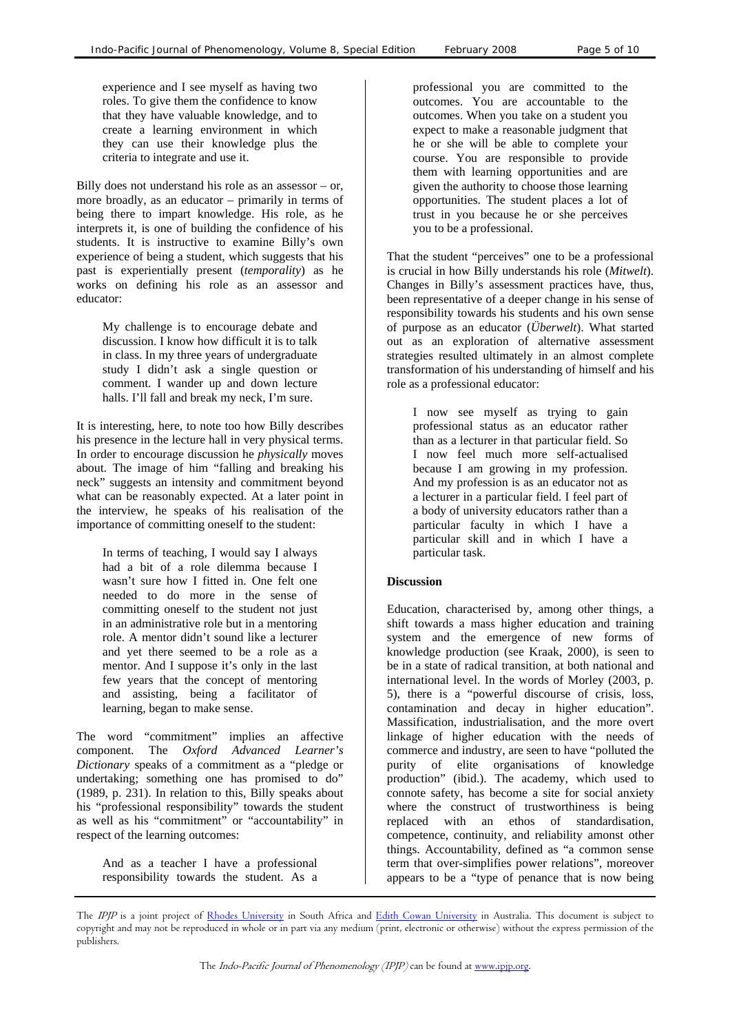experience and I see myself as having two roles. To give them the confidence to know that they have valuable knowledge, and to create a learning environment in which they can use their knowledge plus the criteria to integrate and use it.

Billy does not understand his role as an assessor – or, more broadly, as an educator – primarily in terms of being there to impart knowledge. His role, as he interprets it, is one of building the confidence of his students. It is instructive to examine Billy's own experience of being a student, which suggests that his past is experientially present (*temporality*) as he works on defining his role as an assessor and educator:

My challenge is to encourage debate and discussion. I know how difficult it is to talk in class. In my three years of undergraduate study I didn't ask a single question or comment. I wander up and down lecture halls. I'll fall and break my neck, I'm sure.

It is interesting, here, to note too how Billy describes his presence in the lecture hall in very physical terms. In order to encourage discussion he *physically* moves about. The image of him "falling and breaking his neck" suggests an intensity and commitment beyond what can be reasonably expected. At a later point in the interview, he speaks of his realisation of the importance of committing oneself to the student:

In terms of teaching, I would say I always had a bit of a role dilemma because I wasn't sure how I fitted in. One felt one needed to do more in the sense of committing oneself to the student not just in an administrative role but in a mentoring role. A mentor didn't sound like a lecturer and yet there seemed to be a role as a mentor. And I suppose it's only in the last few years that the concept of mentoring and assisting, being a facilitator of learning, began to make sense.

The word "commitment" implies an affective component. The *Oxford Advanced Learner's Dictionary* speaks of a commitment as a "pledge or undertaking; something one has promised to do" (1989, p. 231). In relation to this, Billy speaks about his "professional responsibility" towards the student as well as his "commitment" or "accountability" in respect of the learning outcomes:

And as a teacher I have a professional responsibility towards the student. As a

professional you are committed to the outcomes. You are accountable to the outcomes. When you take on a student you expect to make a reasonable judgment that he or she will be able to complete your course. You are responsible to provide them with learning opportunities and are given the authority to choose those learning opportunities. The student places a lot of trust in you because he or she perceives you to be a professional.

That the student "perceives" one to be a professional is crucial in how Billy understands his role (*Mitwelt*). Changes in Billy's assessment practices have, thus, been representative of a deeper change in his sense of responsibility towards his students and his own sense of purpose as an educator (*Überwelt*). What started out as an exploration of alternative assessment strategies resulted ultimately in an almost complete transformation of his understanding of himself and his role as a professional educator:

I now see myself as trying to gain professional status as an educator rather than as a lecturer in that particular field. So I now feel much more self-actualised because I am growing in my profession. And my profession is as an educator not as a lecturer in a particular field. I feel part of a body of university educators rather than a particular faculty in which I have a particular skill and in which I have a particular task.

## **Discussion**

Education, characterised by, among other things, a shift towards a mass higher education and training system and the emergence of new forms of knowledge production (see Kraak, 2000), is seen to be in a state of radical transition, at both national and international level. In the words of Morley (2003, p. 5), there is a "powerful discourse of crisis, loss, contamination and decay in higher education". Massification, industrialisation, and the more overt linkage of higher education with the needs of commerce and industry, are seen to have "polluted the purity of elite organisations of knowledge production" (ibid.). The academy, which used to connote safety, has become a site for social anxiety where the construct of trustworthiness is being replaced with an ethos of standardisation, competence, continuity, and reliability amonst other things. Accountability, defined as "a common sense term that over-simplifies power relations", moreover appears to be a "type of penance that is now being

The IPJP is a joint project of Rhodes University in South Africa and Edith Cowan University in Australia. This document is subject to copyright and may not be reproduced in whole or in part via any medium (print, electronic or otherwise) without the express permission of the publishers.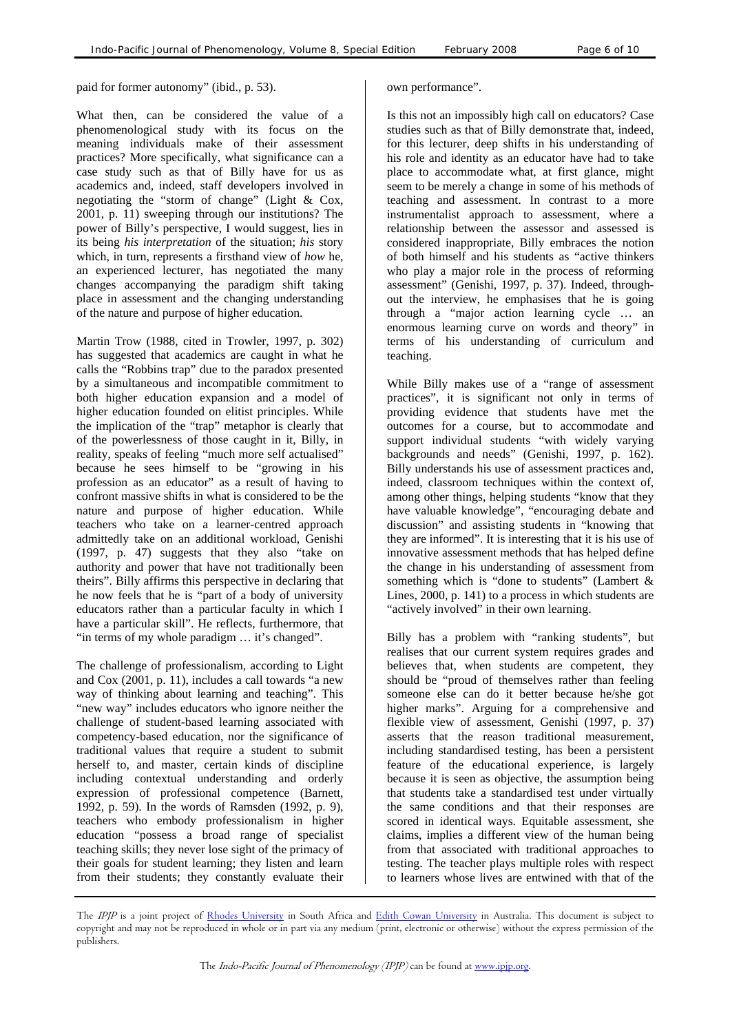paid for former autonomy" (ibid., p. 53).

What then, can be considered the value of a phenomenological study with its focus on the meaning individuals make of their assessment practices? More specifically, what significance can a case study such as that of Billy have for us as academics and, indeed, staff developers involved in negotiating the "storm of change" (Light & Cox, 2001, p. 11) sweeping through our institutions? The power of Billy's perspective, I would suggest, lies in its being *his interpretation* of the situation; *his* story which, in turn, represents a firsthand view of *how* he, an experienced lecturer, has negotiated the many changes accompanying the paradigm shift taking place in assessment and the changing understanding of the nature and purpose of higher education.

Martin Trow (1988, cited in Trowler, 1997, p. 302) has suggested that academics are caught in what he calls the "Robbins trap" due to the paradox presented by a simultaneous and incompatible commitment to both higher education expansion and a model of higher education founded on elitist principles. While the implication of the "trap" metaphor is clearly that of the powerlessness of those caught in it, Billy, in reality, speaks of feeling "much more self actualised" because he sees himself to be "growing in his profession as an educator" as a result of having to confront massive shifts in what is considered to be the nature and purpose of higher education. While teachers who take on a learner-centred approach admittedly take on an additional workload, Genishi (1997, p. 47) suggests that they also "take on authority and power that have not traditionally been theirs". Billy affirms this perspective in declaring that he now feels that he is "part of a body of university educators rather than a particular faculty in which I have a particular skill". He reflects, furthermore, that "in terms of my whole paradigm … it's changed".

The challenge of professionalism, according to Light and Cox (2001, p. 11), includes a call towards "a new way of thinking about learning and teaching". This "new way" includes educators who ignore neither the challenge of student-based learning associated with competency-based education, nor the significance of traditional values that require a student to submit herself to, and master, certain kinds of discipline including contextual understanding and orderly expression of professional competence (Barnett, 1992, p. 59). In the words of Ramsden (1992, p. 9), teachers who embody professionalism in higher education "possess a broad range of specialist teaching skills; they never lose sight of the primacy of their goals for student learning; they listen and learn from their students; they constantly evaluate their

#### own performance".

Is this not an impossibly high call on educators? Case studies such as that of Billy demonstrate that, indeed, for this lecturer, deep shifts in his understanding of his role and identity as an educator have had to take place to accommodate what, at first glance, might seem to be merely a change in some of his methods of teaching and assessment. In contrast to a more instrumentalist approach to assessment, where a relationship between the assessor and assessed is considered inappropriate, Billy embraces the notion of both himself and his students as "active thinkers who play a major role in the process of reforming assessment" (Genishi, 1997, p. 37). Indeed, throughout the interview, he emphasises that he is going through a "major action learning cycle … an enormous learning curve on words and theory" in terms of his understanding of curriculum and teaching.

While Billy makes use of a "range of assessment practices", it is significant not only in terms of providing evidence that students have met the outcomes for a course, but to accommodate and support individual students "with widely varying backgrounds and needs" (Genishi, 1997, p. 162). Billy understands his use of assessment practices and, indeed, classroom techniques within the context of, among other things, helping students "know that they have valuable knowledge", "encouraging debate and discussion" and assisting students in "knowing that they are informed". It is interesting that it is his use of innovative assessment methods that has helped define the change in his understanding of assessment from something which is "done to students" (Lambert & Lines, 2000, p. 141) to a process in which students are "actively involved" in their own learning.

Billy has a problem with "ranking students", but realises that our current system requires grades and believes that, when students are competent, they should be "proud of themselves rather than feeling someone else can do it better because he/she got higher marks". Arguing for a comprehensive and flexible view of assessment, Genishi (1997, p. 37) asserts that the reason traditional measurement, including standardised testing, has been a persistent feature of the educational experience, is largely because it is seen as objective, the assumption being that students take a standardised test under virtually the same conditions and that their responses are scored in identical ways. Equitable assessment, she claims, implies a different view of the human being from that associated with traditional approaches to testing. The teacher plays multiple roles with respect to learners whose lives are entwined with that of the

The IPJP is a joint project of Rhodes University in South Africa and Edith Cowan University in Australia. This document is subject to copyright and may not be reproduced in whole or in part via any medium (print, electronic or otherwise) without the express permission of the publishers.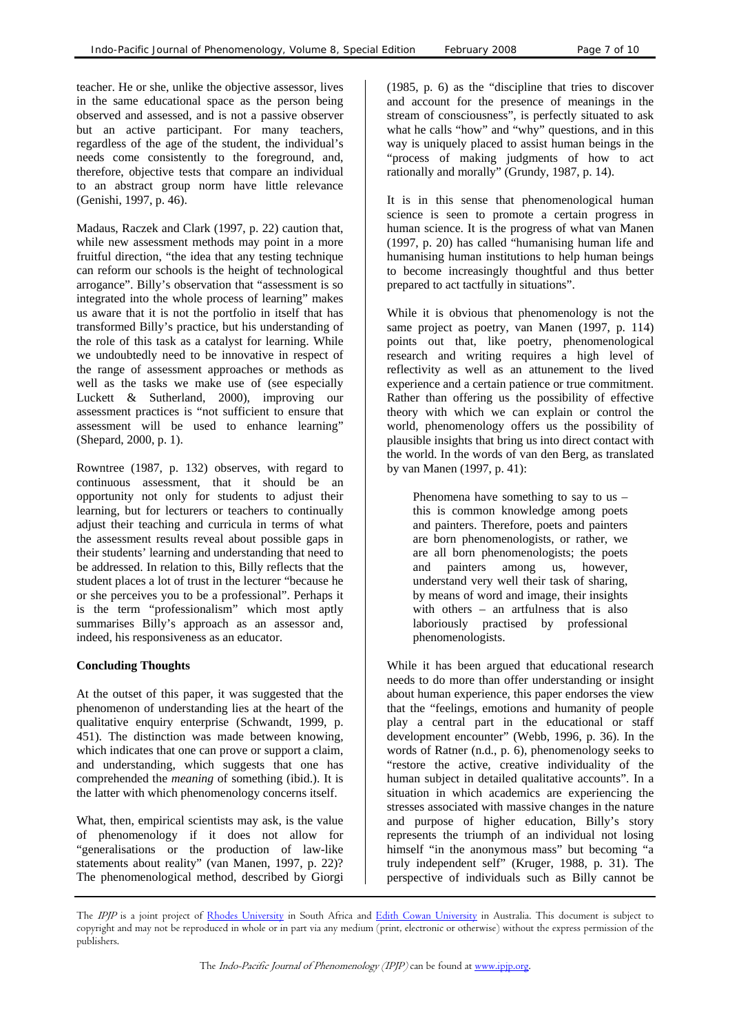teacher. He or she, unlike the objective assessor, lives in the same educational space as the person being observed and assessed, and is not a passive observer but an active participant. For many teachers, regardless of the age of the student, the individual's needs come consistently to the foreground, and, therefore, objective tests that compare an individual to an abstract group norm have little relevance (Genishi, 1997, p. 46).

Madaus, Raczek and Clark (1997, p. 22) caution that, while new assessment methods may point in a more fruitful direction, "the idea that any testing technique can reform our schools is the height of technological arrogance". Billy's observation that "assessment is so integrated into the whole process of learning" makes us aware that it is not the portfolio in itself that has transformed Billy's practice, but his understanding of the role of this task as a catalyst for learning. While we undoubtedly need to be innovative in respect of the range of assessment approaches or methods as well as the tasks we make use of (see especially Luckett & Sutherland, 2000), improving our assessment practices is "not sufficient to ensure that assessment will be used to enhance learning" (Shepard, 2000, p. 1).

Rowntree (1987, p. 132) observes, with regard to continuous assessment, that it should be an opportunity not only for students to adjust their learning, but for lecturers or teachers to continually adjust their teaching and curricula in terms of what the assessment results reveal about possible gaps in their students' learning and understanding that need to be addressed. In relation to this, Billy reflects that the student places a lot of trust in the lecturer "because he or she perceives you to be a professional". Perhaps it is the term "professionalism" which most aptly summarises Billy's approach as an assessor and, indeed, his responsiveness as an educator.

## **Concluding Thoughts**

At the outset of this paper, it was suggested that the phenomenon of understanding lies at the heart of the qualitative enquiry enterprise (Schwandt, 1999, p. 451). The distinction was made between knowing, which indicates that one can prove or support a claim, and understanding, which suggests that one has comprehended the *meaning* of something (ibid.). It is the latter with which phenomenology concerns itself.

What, then, empirical scientists may ask, is the value of phenomenology if it does not allow for "generalisations or the production of law-like statements about reality" (van Manen, 1997, p. 22)? The phenomenological method, described by Giorgi

(1985, p. 6) as the "discipline that tries to discover and account for the presence of meanings in the stream of consciousness", is perfectly situated to ask what he calls "how" and "why" questions, and in this way is uniquely placed to assist human beings in the "process of making judgments of how to act rationally and morally" (Grundy, 1987, p. 14).

It is in this sense that phenomenological human science is seen to promote a certain progress in human science. It is the progress of what van Manen (1997, p. 20) has called "humanising human life and humanising human institutions to help human beings to become increasingly thoughtful and thus better prepared to act tactfully in situations".

While it is obvious that phenomenology is not the same project as poetry, van Manen (1997, p. 114) points out that, like poetry, phenomenological research and writing requires a high level of reflectivity as well as an attunement to the lived experience and a certain patience or true commitment. Rather than offering us the possibility of effective theory with which we can explain or control the world, phenomenology offers us the possibility of plausible insights that bring us into direct contact with the world. In the words of van den Berg, as translated by van Manen (1997, p. 41):

Phenomena have something to say to us – this is common knowledge among poets and painters. Therefore, poets and painters are born phenomenologists, or rather, we are all born phenomenologists; the poets and painters among us, however, understand very well their task of sharing, by means of word and image, their insights with others – an artfulness that is also laboriously practised by professional phenomenologists.

While it has been argued that educational research needs to do more than offer understanding or insight about human experience, this paper endorses the view that the "feelings, emotions and humanity of people play a central part in the educational or staff development encounter" (Webb, 1996, p. 36). In the words of Ratner (n.d., p. 6), phenomenology seeks to "restore the active, creative individuality of the human subject in detailed qualitative accounts". In a situation in which academics are experiencing the stresses associated with massive changes in the nature and purpose of higher education, Billy's story represents the triumph of an individual not losing himself "in the anonymous mass" but becoming "a truly independent self" (Kruger, 1988, p. 31). The perspective of individuals such as Billy cannot be

The IPJP is a joint project of Rhodes University in South Africa and Edith Cowan University in Australia. This document is subject to copyright and may not be reproduced in whole or in part via any medium (print, electronic or otherwise) without the express permission of the publishers.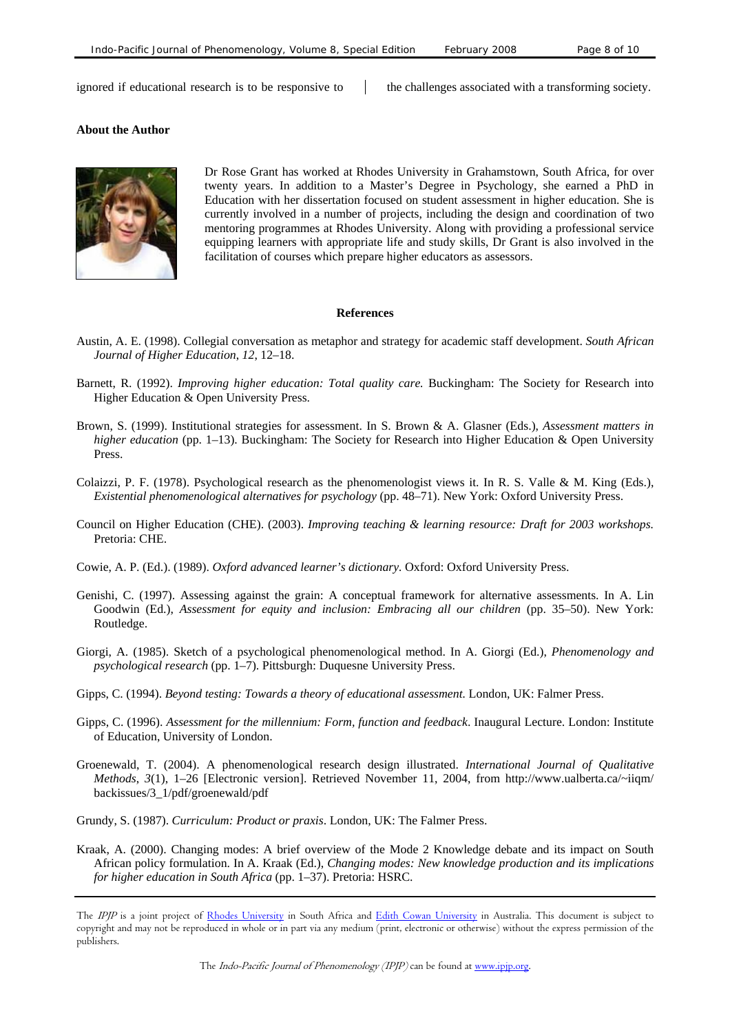ignored if educational research is to be responsive to the challenges associated with a transforming society.

#### **About the Author**



Dr Rose Grant has worked at Rhodes University in Grahamstown, South Africa, for over twenty years. In addition to a Master's Degree in Psychology, she earned a PhD in Education with her dissertation focused on student assessment in higher education. She is currently involved in a number of projects, including the design and coordination of two mentoring programmes at Rhodes University. Along with providing a professional service equipping learners with appropriate life and study skills, Dr Grant is also involved in the facilitation of courses which prepare higher educators as assessors.

#### **References**

- Austin, A. E. (1998). Collegial conversation as metaphor and strategy for academic staff development. *South African Journal of Higher Education*, *12*, 12–18.
- Barnett, R. (1992). *Improving higher education: Total quality care.* Buckingham: The Society for Research into Higher Education & Open University Press.
- Brown, S. (1999). Institutional strategies for assessment. In S. Brown & A. Glasner (Eds.), *Assessment matters in higher education* (pp. 1–13). Buckingham: The Society for Research into Higher Education & Open University Press.
- Colaizzi, P. F. (1978). Psychological research as the phenomenologist views it. In R. S. Valle & M. King (Eds.), *Existential phenomenological alternatives for psychology* (pp. 48–71). New York: Oxford University Press.
- Council on Higher Education (CHE). (2003). *Improving teaching & learning resource: Draft for 2003 workshops.* Pretoria: CHE.
- Cowie, A. P. (Ed.). (1989). *Oxford advanced learner's dictionary.* Oxford: Oxford University Press.
- Genishi, C. (1997). Assessing against the grain: A conceptual framework for alternative assessments. In A. Lin Goodwin (Ed.), *Assessment for equity and inclusion: Embracing all our children* (pp. 35–50). New York: Routledge.
- Giorgi, A. (1985). Sketch of a psychological phenomenological method. In A. Giorgi (Ed.), *Phenomenology and psychological research* (pp. 1–7). Pittsburgh: Duquesne University Press.
- Gipps, C. (1994). *Beyond testing: Towards a theory of educational assessment.* London, UK: Falmer Press.
- Gipps, C. (1996). *Assessment for the millennium: Form, function and feedback*. Inaugural Lecture. London: Institute of Education, University of London.
- Groenewald, T. (2004). A phenomenological research design illustrated. *International Journal of Qualitative Methods*,  $3(1)$ , 1–26 [Electronic version]. Retrieved November 11, 2004, from http://www.ualberta.ca/~iiqm/ backissues/3\_1/pdf/groenewald/pdf
- Grundy, S. (1987). *Curriculum: Product or praxis*. London, UK: The Falmer Press.
- Kraak, A. (2000). Changing modes: A brief overview of the Mode 2 Knowledge debate and its impact on South African policy formulation. In A. Kraak (Ed.), *Changing modes: New knowledge production and its implications for higher education in South Africa* (pp. 1–37). Pretoria: HSRC.

The IPJP is a joint project of Rhodes University in South Africa and Edith Cowan University in Australia. This document is subject to copyright and may not be reproduced in whole or in part via any medium (print, electronic or otherwise) without the express permission of the publishers.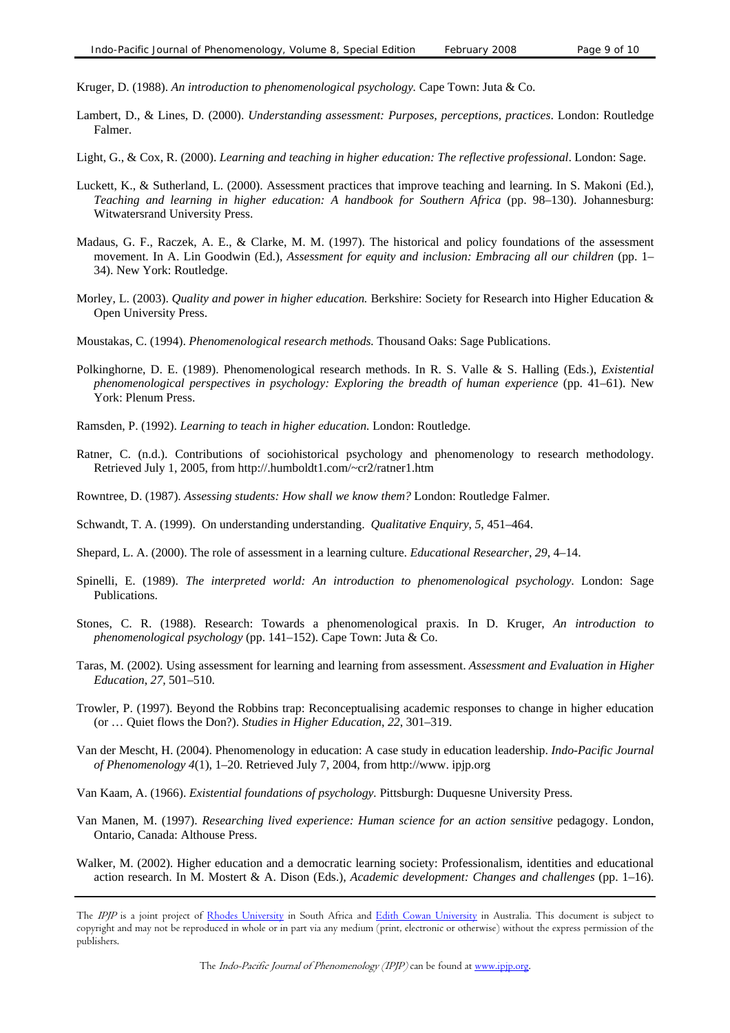Kruger, D. (1988). *An introduction to phenomenological psychology.* Cape Town: Juta & Co.

- Lambert, D., & Lines, D. (2000). *Understanding assessment: Purposes, perceptions, practices*. London: Routledge Falmer.
- Light, G., & Cox, R. (2000). *Learning and teaching in higher education: The reflective professional*. London: Sage.
- Luckett, K., & Sutherland, L. (2000). Assessment practices that improve teaching and learning. In S. Makoni (Ed.), *Teaching and learning in higher education: A handbook for Southern Africa* (pp. 98–130). Johannesburg: Witwatersrand University Press.
- Madaus, G. F., Raczek, A. E., & Clarke, M. M. (1997). The historical and policy foundations of the assessment movement. In A. Lin Goodwin (Ed.), *Assessment for equity and inclusion: Embracing all our children* (pp. 1– 34). New York: Routledge.
- Morley, L. (2003). *Quality and power in higher education.* Berkshire: Society for Research into Higher Education & Open University Press.
- Moustakas, C. (1994). *Phenomenological research methods.* Thousand Oaks: Sage Publications.
- Polkinghorne, D. E. (1989). Phenomenological research methods. In R. S. Valle & S. Halling (Eds.), *Existential phenomenological perspectives in psychology: Exploring the breadth of human experience* (pp. 41–61). New York: Plenum Press.
- Ramsden, P. (1992). *Learning to teach in higher education.* London: Routledge.
- Ratner, C. (n.d.). Contributions of sociohistorical psychology and phenomenology to research methodology. Retrieved July 1, 2005, from http://.humboldt1.com/~cr2/ratner1.htm
- Rowntree, D. (1987). *Assessing students: How shall we know them?* London: Routledge Falmer.
- Schwandt, T. A. (1999). On understanding understanding. *Qualitative Enquiry*, *5*, 451–464.
- Shepard, L. A. (2000). The role of assessment in a learning culture. *Educational Researcher*, *29*, 4–14.
- Spinelli, E. (1989). *The interpreted world: An introduction to phenomenological psychology*. London: Sage Publications.
- Stones, C. R. (1988). Research: Towards a phenomenological praxis. In D. Kruger, *An introduction to phenomenological psychology* (pp. 141–152). Cape Town: Juta & Co.
- Taras, M. (2002). Using assessment for learning and learning from assessment. *Assessment and Evaluation in Higher Education*, *27,* 501–510.
- Trowler, P. (1997). Beyond the Robbins trap: Reconceptualising academic responses to change in higher education (or … Quiet flows the Don?). *Studies in Higher Education*, *22*, 301–319.
- Van der Mescht, H. (2004). Phenomenology in education: A case study in education leadership. *Indo-Pacific Journal of Phenomenology 4*(1), 1–20. Retrieved July 7, 2004, from http://www. ipjp.org
- Van Kaam, A. (1966). *Existential foundations of psychology.* Pittsburgh: Duquesne University Press.
- Van Manen, M. (1997). *Researching lived experience: Human science for an action sensitive* pedagogy. London, Ontario, Canada: Althouse Press.
- Walker, M. (2002). Higher education and a democratic learning society: Professionalism, identities and educational action research. In M. Mostert & A. Dison (Eds.), *Academic development: Changes and challenges* (pp. 1–16).

The IPJP is a joint project of Rhodes University in South Africa and Edith Cowan University in Australia. This document is subject to copyright and may not be reproduced in whole or in part via any medium (print, electronic or otherwise) without the express permission of the publishers.